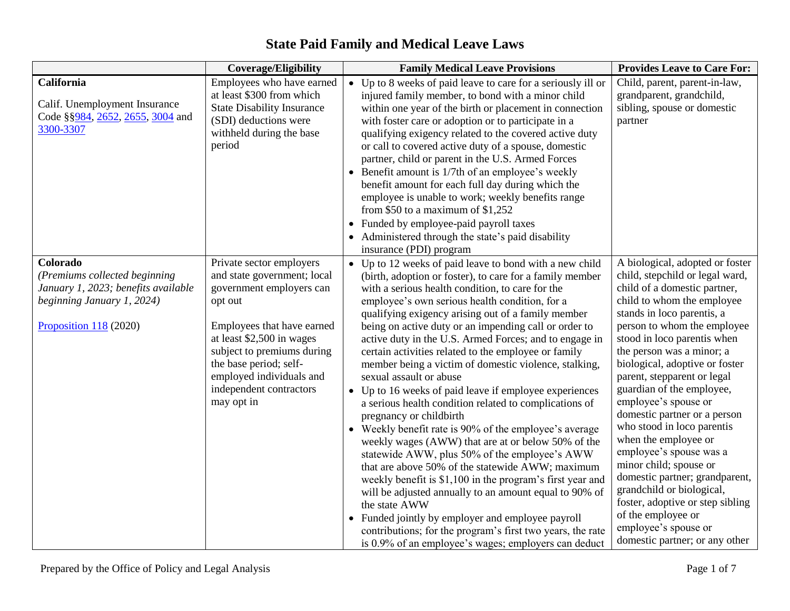|                                                                                                                                            | <b>Coverage/Eligibility</b>                                                                                                                                                                                                                                                            | <b>Family Medical Leave Provisions</b>                                                                                                                                                                                                                                                                                                                                                                                                                                                                                                                                                                                                                                                                                                                                                                                                                                                                                                                                                                                                                                                                                                                                                                                                           | <b>Provides Leave to Care For:</b>                                                                                                                                                                                                                                                                                                                                                                                                                                                                                                                                                                                                                                                                            |
|--------------------------------------------------------------------------------------------------------------------------------------------|----------------------------------------------------------------------------------------------------------------------------------------------------------------------------------------------------------------------------------------------------------------------------------------|--------------------------------------------------------------------------------------------------------------------------------------------------------------------------------------------------------------------------------------------------------------------------------------------------------------------------------------------------------------------------------------------------------------------------------------------------------------------------------------------------------------------------------------------------------------------------------------------------------------------------------------------------------------------------------------------------------------------------------------------------------------------------------------------------------------------------------------------------------------------------------------------------------------------------------------------------------------------------------------------------------------------------------------------------------------------------------------------------------------------------------------------------------------------------------------------------------------------------------------------------|---------------------------------------------------------------------------------------------------------------------------------------------------------------------------------------------------------------------------------------------------------------------------------------------------------------------------------------------------------------------------------------------------------------------------------------------------------------------------------------------------------------------------------------------------------------------------------------------------------------------------------------------------------------------------------------------------------------|
| California<br>Calif. Unemployment Insurance<br>Code §§984, 2652, 2655, 3004 and<br>3300-3307                                               | Employees who have earned<br>at least \$300 from which<br><b>State Disability Insurance</b><br>(SDI) deductions were<br>withheld during the base<br>period                                                                                                                             | • Up to 8 weeks of paid leave to care for a seriously ill or<br>injured family member, to bond with a minor child<br>within one year of the birth or placement in connection<br>with foster care or adoption or to participate in a<br>qualifying exigency related to the covered active duty<br>or call to covered active duty of a spouse, domestic<br>partner, child or parent in the U.S. Armed Forces<br>Benefit amount is 1/7th of an employee's weekly<br>benefit amount for each full day during which the<br>employee is unable to work; weekly benefits range<br>from $$50$ to a maximum of $$1,252$<br>Funded by employee-paid payroll taxes<br>Administered through the state's paid disability<br>insurance (PDI) program                                                                                                                                                                                                                                                                                                                                                                                                                                                                                                           | Child, parent, parent-in-law,<br>grandparent, grandchild,<br>sibling, spouse or domestic<br>partner                                                                                                                                                                                                                                                                                                                                                                                                                                                                                                                                                                                                           |
| Colorado<br>(Premiums collected beginning<br>January 1, 2023; benefits available<br>beginning January 1, 2024)<br>Proposition $118$ (2020) | Private sector employers<br>and state government; local<br>government employers can<br>opt out<br>Employees that have earned<br>at least \$2,500 in wages<br>subject to premiums during<br>the base period; self-<br>employed individuals and<br>independent contractors<br>may opt in | • Up to 12 weeks of paid leave to bond with a new child<br>(birth, adoption or foster), to care for a family member<br>with a serious health condition, to care for the<br>employee's own serious health condition, for a<br>qualifying exigency arising out of a family member<br>being on active duty or an impending call or order to<br>active duty in the U.S. Armed Forces; and to engage in<br>certain activities related to the employee or family<br>member being a victim of domestic violence, stalking,<br>sexual assault or abuse<br>• Up to 16 weeks of paid leave if employee experiences<br>a serious health condition related to complications of<br>pregnancy or childbirth<br>• Weekly benefit rate is 90% of the employee's average<br>weekly wages (AWW) that are at or below 50% of the<br>statewide AWW, plus 50% of the employee's AWW<br>that are above 50% of the statewide AWW; maximum<br>weekly benefit is \$1,100 in the program's first year and<br>will be adjusted annually to an amount equal to 90% of<br>the state AWW<br>Funded jointly by employer and employee payroll<br>$\bullet$<br>contributions; for the program's first two years, the rate<br>is 0.9% of an employee's wages; employers can deduct | A biological, adopted or foster<br>child, stepchild or legal ward,<br>child of a domestic partner,<br>child to whom the employee<br>stands in loco parentis, a<br>person to whom the employee<br>stood in loco parentis when<br>the person was a minor; a<br>biological, adoptive or foster<br>parent, stepparent or legal<br>guardian of the employee,<br>employee's spouse or<br>domestic partner or a person<br>who stood in loco parentis<br>when the employee or<br>employee's spouse was a<br>minor child; spouse or<br>domestic partner; grandparent,<br>grandchild or biological,<br>foster, adoptive or step sibling<br>of the employee or<br>employee's spouse or<br>domestic partner; or any other |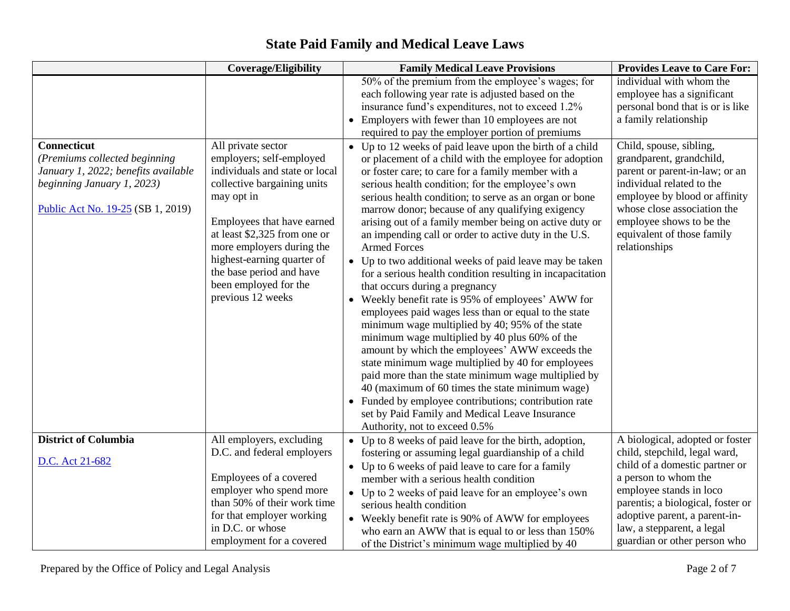#### **Coverage/Eligibility Family Medical Leave Provisions** Provides Leave to Care For: 50% of the premium from the employee's wages; for each following year rate is adjusted based on the insurance fund's expenditures, not to exceed 1.2% • Employers with fewer than 10 employees are not required to pay the employer portion of premiums individual with whom the employee has a significant personal bond that is or is like a family relationship **Connecticut** *(Premiums collected beginning January 1, 2022; benefits available beginning January 1, 2023)* [Public Act No. 19-25](https://www.cga.ct.gov/2019/ACT/pa/pdf/2019PA-00025-R00SB-00001-PA.pdf) (SB 1, 2019) All private sector employers; self-employed individuals and state or local collective bargaining units may opt in Employees that have earned at least \$2,325 from one or more employers during the highest-earning quarter of the base period and have been employed for the previous 12 weeks • Up to 12 weeks of paid leave upon the birth of a child or placement of a child with the employee for adoption or foster care; to care for a family member with a serious health condition; for the employee's own serious health condition; to serve as an organ or bone marrow donor; because of any qualifying exigency arising out of a family member being on active duty or an impending call or order to active duty in the U.S. Armed Forces • Up to two additional weeks of paid leave may be taken for a serious health condition resulting in incapacitation that occurs during a pregnancy • Weekly benefit rate is 95% of employees' AWW for employees paid wages less than or equal to the state minimum wage multiplied by 40; 95% of the state minimum wage multiplied by 40 plus 60% of the amount by which the employees' AWW exceeds the state minimum wage multiplied by 40 for employees paid more than the state minimum wage multiplied by 40 (maximum of 60 times the state minimum wage) • Funded by employee contributions; contribution rate set by Paid Family and Medical Leave Insurance Authority, not to exceed 0.5% Child, spouse, sibling, grandparent, grandchild, parent or parent-in-law; or an individual related to the employee by blood or affinity whose close association the employee shows to be the equivalent of those family relationships **District of Columbia** [D.C. Act 21-682](https://lims.dccouncil.us/downloads/LIMS/34613/Signed_Act/B21-0415-SignedAct.pdf) All employers, excluding D.C. and federal employers Employees of a covered employer who spend more than 50% of their work time for that employer working in D.C. or whose employment for a covered • Up to 8 weeks of paid leave for the birth, adoption, fostering or assuming legal guardianship of a child • Up to 6 weeks of paid leave to care for a family member with a serious health condition • Up to 2 weeks of paid leave for an employee's own serious health condition • Weekly benefit rate is 90% of AWW for employees who earn an AWW that is equal to or less than 150% of the District's minimum wage multiplied by 40 A biological, adopted or foster child, stepchild, legal ward, child of a domestic partner or a person to whom the employee stands in loco parentis; a biological, foster or adoptive parent, a parent-inlaw, a stepparent, a legal guardian or other person who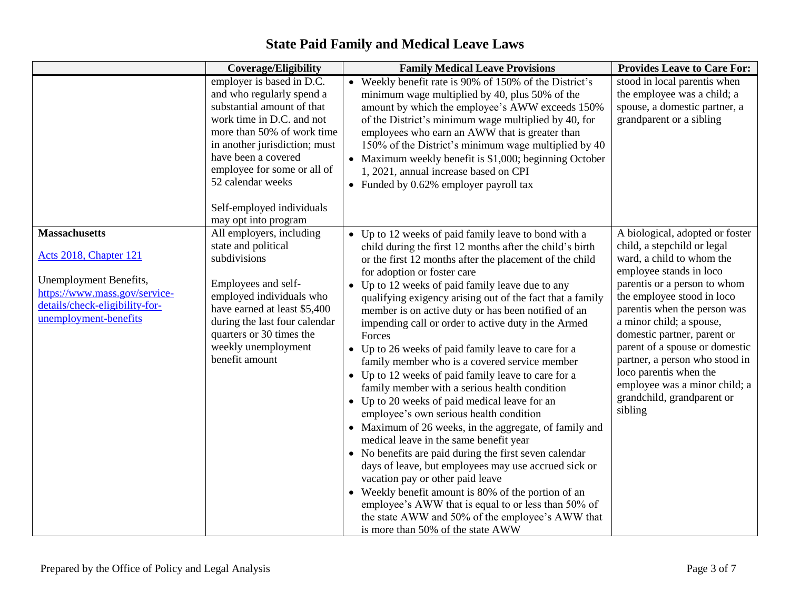|                                                                                                                                                                             | <b>Coverage/Eligibility</b>                                                                                                                                                                                                                                                              | <b>Family Medical Leave Provisions</b>                                                                                                                                                                                                                                                                                                                                                                                                                                                                                                                                                                                                                                                                                                                                                                                                                                                                                                                                                                                                                                                                                                                                                                                         | <b>Provides Leave to Care For:</b>                                                                                                                                                                                                                                                                                                                                                                                                                      |
|-----------------------------------------------------------------------------------------------------------------------------------------------------------------------------|------------------------------------------------------------------------------------------------------------------------------------------------------------------------------------------------------------------------------------------------------------------------------------------|--------------------------------------------------------------------------------------------------------------------------------------------------------------------------------------------------------------------------------------------------------------------------------------------------------------------------------------------------------------------------------------------------------------------------------------------------------------------------------------------------------------------------------------------------------------------------------------------------------------------------------------------------------------------------------------------------------------------------------------------------------------------------------------------------------------------------------------------------------------------------------------------------------------------------------------------------------------------------------------------------------------------------------------------------------------------------------------------------------------------------------------------------------------------------------------------------------------------------------|---------------------------------------------------------------------------------------------------------------------------------------------------------------------------------------------------------------------------------------------------------------------------------------------------------------------------------------------------------------------------------------------------------------------------------------------------------|
|                                                                                                                                                                             | employer is based in D.C.<br>and who regularly spend a<br>substantial amount of that<br>work time in D.C. and not<br>more than 50% of work time<br>in another jurisdiction; must<br>have been a covered<br>employee for some or all of<br>52 calendar weeks<br>Self-employed individuals | • Weekly benefit rate is 90% of 150% of the District's<br>minimum wage multiplied by 40, plus 50% of the<br>amount by which the employee's AWW exceeds 150%<br>of the District's minimum wage multiplied by 40, for<br>employees who earn an AWW that is greater than<br>150% of the District's minimum wage multiplied by 40<br>• Maximum weekly benefit is \$1,000; beginning October<br>1, 2021, annual increase based on CPI<br>• Funded by $0.62\%$ employer payroll tax                                                                                                                                                                                                                                                                                                                                                                                                                                                                                                                                                                                                                                                                                                                                                  | stood in local parentis when<br>the employee was a child; a<br>spouse, a domestic partner, a<br>grandparent or a sibling                                                                                                                                                                                                                                                                                                                                |
| <b>Massachusetts</b><br><b>Acts 2018, Chapter 121</b><br>Unemployment Benefits,<br>https://www.mass.gov/service-<br>details/check-eligibility-for-<br>unemployment-benefits | may opt into program<br>All employers, including<br>state and political<br>subdivisions<br>Employees and self-<br>employed individuals who<br>have earned at least \$5,400<br>during the last four calendar<br>quarters or 30 times the<br>weekly unemployment<br>benefit amount         | • Up to 12 weeks of paid family leave to bond with a<br>child during the first 12 months after the child's birth<br>or the first 12 months after the placement of the child<br>for adoption or foster care<br>• Up to 12 weeks of paid family leave due to any<br>qualifying exigency arising out of the fact that a family<br>member is on active duty or has been notified of an<br>impending call or order to active duty in the Armed<br>Forces<br>• Up to 26 weeks of paid family leave to care for a<br>family member who is a covered service member<br>• Up to 12 weeks of paid family leave to care for a<br>family member with a serious health condition<br>• Up to 20 weeks of paid medical leave for an<br>employee's own serious health condition<br>• Maximum of 26 weeks, in the aggregate, of family and<br>medical leave in the same benefit year<br>• No benefits are paid during the first seven calendar<br>days of leave, but employees may use accrued sick or<br>vacation pay or other paid leave<br>Weekly benefit amount is 80% of the portion of an<br>employee's AWW that is equal to or less than 50% of<br>the state AWW and 50% of the employee's AWW that<br>is more than 50% of the state AWW | A biological, adopted or foster<br>child, a stepchild or legal<br>ward, a child to whom the<br>employee stands in loco<br>parentis or a person to whom<br>the employee stood in loco<br>parentis when the person was<br>a minor child; a spouse,<br>domestic partner, parent or<br>parent of a spouse or domestic<br>partner, a person who stood in<br>loco parentis when the<br>employee was a minor child; a<br>grandchild, grandparent or<br>sibling |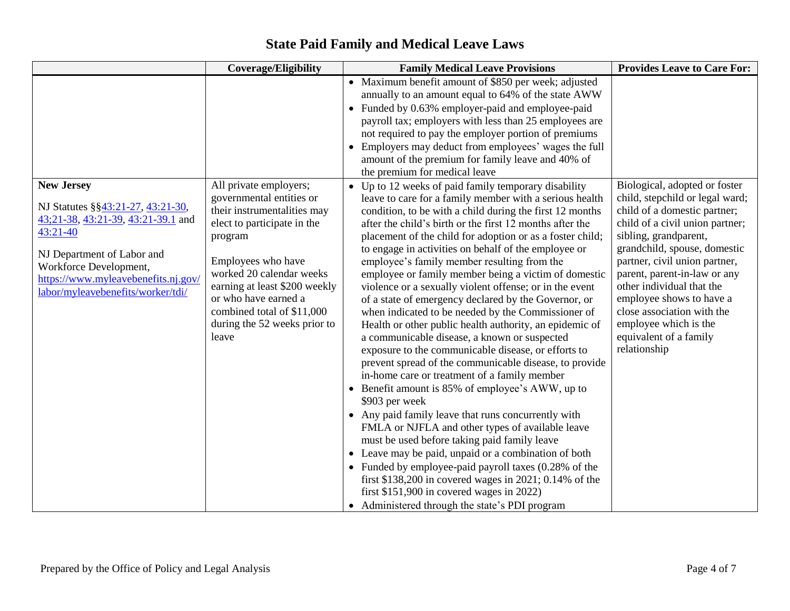|                                                                                                                                                                                                                                                | <b>Coverage/Eligibility</b>                                                                                                                                                                                                                                                                                   | <b>Family Medical Leave Provisions</b>                                                                                                                                                                                                                                                                                                                                                                                                                                                                                                                                                                                                                                                                                                                                                                                                                                                                                                                                                                                                                                                                                                                                                                                                                                                                                                                                                                                                          | <b>Provides Leave to Care For:</b>                                                                                                                                                                                                                                                                                                                                                                                      |
|------------------------------------------------------------------------------------------------------------------------------------------------------------------------------------------------------------------------------------------------|---------------------------------------------------------------------------------------------------------------------------------------------------------------------------------------------------------------------------------------------------------------------------------------------------------------|-------------------------------------------------------------------------------------------------------------------------------------------------------------------------------------------------------------------------------------------------------------------------------------------------------------------------------------------------------------------------------------------------------------------------------------------------------------------------------------------------------------------------------------------------------------------------------------------------------------------------------------------------------------------------------------------------------------------------------------------------------------------------------------------------------------------------------------------------------------------------------------------------------------------------------------------------------------------------------------------------------------------------------------------------------------------------------------------------------------------------------------------------------------------------------------------------------------------------------------------------------------------------------------------------------------------------------------------------------------------------------------------------------------------------------------------------|-------------------------------------------------------------------------------------------------------------------------------------------------------------------------------------------------------------------------------------------------------------------------------------------------------------------------------------------------------------------------------------------------------------------------|
|                                                                                                                                                                                                                                                |                                                                                                                                                                                                                                                                                                               | • Maximum benefit amount of \$850 per week; adjusted<br>annually to an amount equal to 64% of the state AWW<br>• Funded by 0.63% employer-paid and employee-paid<br>payroll tax; employers with less than 25 employees are<br>not required to pay the employer portion of premiums<br>• Employers may deduct from employees' wages the full<br>amount of the premium for family leave and 40% of<br>the premium for medical leave                                                                                                                                                                                                                                                                                                                                                                                                                                                                                                                                                                                                                                                                                                                                                                                                                                                                                                                                                                                                               |                                                                                                                                                                                                                                                                                                                                                                                                                         |
| <b>New Jersey</b><br>NJ Statutes §§43:21-27, 43:21-30,<br>43;21-38, 43:21-39, 43:21-39.1 and<br>$43:21-40$<br>NJ Department of Labor and<br>Workforce Development,<br>https://www.myleavebenefits.nj.gov/<br>labor/myleavebenefits/worker/tdi/ | All private employers;<br>governmental entities or<br>their instrumentalities may<br>elect to participate in the<br>program<br>Employees who have<br>worked 20 calendar weeks<br>earning at least \$200 weekly<br>or who have earned a<br>combined total of \$11,000<br>during the 52 weeks prior to<br>leave | • Up to 12 weeks of paid family temporary disability<br>leave to care for a family member with a serious health<br>condition, to be with a child during the first 12 months<br>after the child's birth or the first 12 months after the<br>placement of the child for adoption or as a foster child;<br>to engage in activities on behalf of the employee or<br>employee's family member resulting from the<br>employee or family member being a victim of domestic<br>violence or a sexually violent offense; or in the event<br>of a state of emergency declared by the Governor, or<br>when indicated to be needed by the Commissioner of<br>Health or other public health authority, an epidemic of<br>a communicable disease, a known or suspected<br>exposure to the communicable disease, or efforts to<br>prevent spread of the communicable disease, to provide<br>in-home care or treatment of a family member<br>• Benefit amount is 85% of employee's AWW, up to<br>\$903 per week<br>• Any paid family leave that runs concurrently with<br>FMLA or NJFLA and other types of available leave<br>must be used before taking paid family leave<br>• Leave may be paid, unpaid or a combination of both<br>• Funded by employee-paid payroll taxes $(0.28\% \text{ of the}$<br>first \$138,200 in covered wages in 2021; 0.14% of the<br>first $$151,900$ in covered wages in 2022)<br>• Administered through the state's PDI program | Biological, adopted or foster<br>child, stepchild or legal ward;<br>child of a domestic partner;<br>child of a civil union partner;<br>sibling, grandparent,<br>grandchild, spouse, domestic<br>partner, civil union partner,<br>parent, parent-in-law or any<br>other individual that the<br>employee shows to have a<br>close association with the<br>employee which is the<br>equivalent of a family<br>relationship |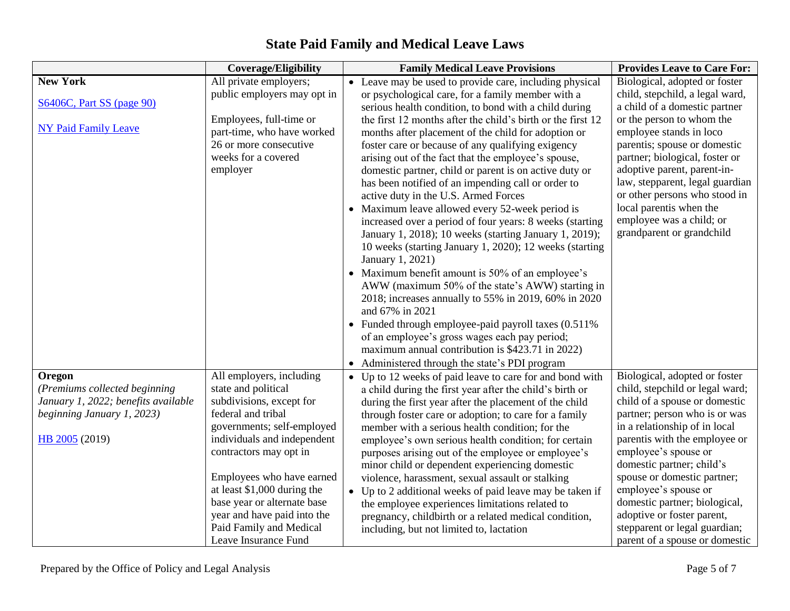|                                     | <b>Coverage/Eligibility</b> | <b>Family Medical Leave Provisions</b>                      | <b>Provides Leave to Care For:</b> |
|-------------------------------------|-----------------------------|-------------------------------------------------------------|------------------------------------|
| <b>New York</b>                     | All private employers;      | • Leave may be used to provide care, including physical     | Biological, adopted or foster      |
|                                     | public employers may opt in | or psychological care, for a family member with a           | child, stepchild, a legal ward,    |
| <b>S6406C, Part SS (page 90)</b>    |                             | serious health condition, to bond with a child during       | a child of a domestic partner      |
|                                     | Employees, full-time or     | the first 12 months after the child's birth or the first 12 | or the person to whom the          |
| <b>NY Paid Family Leave</b>         | part-time, who have worked  | months after placement of the child for adoption or         | employee stands in loco            |
|                                     | 26 or more consecutive      | foster care or because of any qualifying exigency           | parentis; spouse or domestic       |
|                                     | weeks for a covered         | arising out of the fact that the employee's spouse,         | partner; biological, foster or     |
|                                     | employer                    | domestic partner, child or parent is on active duty or      | adoptive parent, parent-in-        |
|                                     |                             | has been notified of an impending call or order to          | law, stepparent, legal guardian    |
|                                     |                             | active duty in the U.S. Armed Forces                        | or other persons who stood in      |
|                                     |                             | • Maximum leave allowed every 52-week period is             | local parentis when the            |
|                                     |                             | increased over a period of four years: 8 weeks (starting    | employee was a child; or           |
|                                     |                             | January 1, 2018); 10 weeks (starting January 1, 2019);      | grandparent or grandchild          |
|                                     |                             | 10 weeks (starting January 1, 2020); 12 weeks (starting     |                                    |
|                                     |                             | January 1, 2021)                                            |                                    |
|                                     |                             | • Maximum benefit amount is 50% of an employee's            |                                    |
|                                     |                             | AWW (maximum 50% of the state's AWW) starting in            |                                    |
|                                     |                             | 2018; increases annually to 55% in 2019, 60% in 2020        |                                    |
|                                     |                             | and 67% in 2021                                             |                                    |
|                                     |                             | • Funded through employee-paid payroll taxes (0.511%)       |                                    |
|                                     |                             | of an employee's gross wages each pay period;               |                                    |
|                                     |                             | maximum annual contribution is \$423.71 in 2022)            |                                    |
|                                     |                             | • Administered through the state's PDI program              |                                    |
| Oregon                              | All employers, including    | • Up to 12 weeks of paid leave to care for and bond with    | Biological, adopted or foster      |
| (Premiums collected beginning       | state and political         | a child during the first year after the child's birth or    | child, stepchild or legal ward;    |
| January 1, 2022; benefits available | subdivisions, except for    | during the first year after the placement of the child      | child of a spouse or domestic      |
| beginning January 1, 2023)          | federal and tribal          | through foster care or adoption; to care for a family       | partner; person who is or was      |
|                                     | governments; self-employed  | member with a serious health condition; for the             | in a relationship of in local      |
| HB 2005 (2019)                      | individuals and independent | employee's own serious health condition; for certain        | parentis with the employee or      |
|                                     | contractors may opt in      | purposes arising out of the employee or employee's          | employee's spouse or               |
|                                     |                             | minor child or dependent experiencing domestic              | domestic partner; child's          |
|                                     | Employees who have earned   | violence, harassment, sexual assault or stalking            | spouse or domestic partner;        |
|                                     | at least \$1,000 during the | • Up to 2 additional weeks of paid leave may be taken if    | employee's spouse or               |
|                                     | base year or alternate base | the employee experiences limitations related to             | domestic partner; biological,      |
|                                     | year and have paid into the | pregnancy, childbirth or a related medical condition,       | adoptive or foster parent,         |
|                                     | Paid Family and Medical     | including, but not limited to, lactation                    | stepparent or legal guardian;      |
|                                     | Leave Insurance Fund        |                                                             | parent of a spouse or domestic     |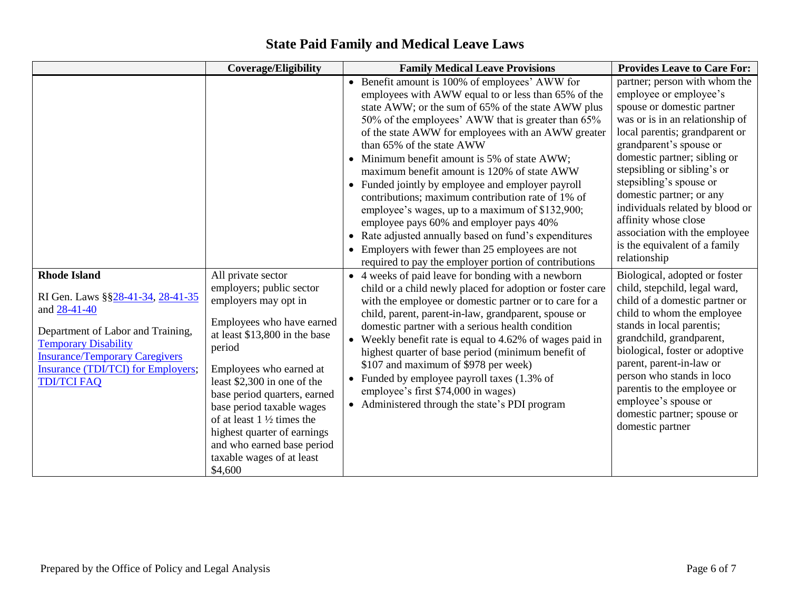|                                                                                                                                                                                                                                                            | <b>Coverage/Eligibility</b>                                                                                                                                                                                                                                                                                  | <b>Family Medical Leave Provisions</b>                                                                                                                                                                                                                                                                                                                                                                                                                                                                                                                                                                                                                                                                                                                                                                                                                                                                                                                                                                                                                                              | <b>Provides Leave to Care For:</b>                                                                                                                                                                                                                                                                                                                                                                                                                                                                                                                                                                                                                                                                                                                                                                                                                       |
|------------------------------------------------------------------------------------------------------------------------------------------------------------------------------------------------------------------------------------------------------------|--------------------------------------------------------------------------------------------------------------------------------------------------------------------------------------------------------------------------------------------------------------------------------------------------------------|-------------------------------------------------------------------------------------------------------------------------------------------------------------------------------------------------------------------------------------------------------------------------------------------------------------------------------------------------------------------------------------------------------------------------------------------------------------------------------------------------------------------------------------------------------------------------------------------------------------------------------------------------------------------------------------------------------------------------------------------------------------------------------------------------------------------------------------------------------------------------------------------------------------------------------------------------------------------------------------------------------------------------------------------------------------------------------------|----------------------------------------------------------------------------------------------------------------------------------------------------------------------------------------------------------------------------------------------------------------------------------------------------------------------------------------------------------------------------------------------------------------------------------------------------------------------------------------------------------------------------------------------------------------------------------------------------------------------------------------------------------------------------------------------------------------------------------------------------------------------------------------------------------------------------------------------------------|
| <b>Rhode Island</b><br>RI Gen. Laws § § 28-41-34, 28-41-35<br>and 28-41-40<br>Department of Labor and Training,<br><b>Temporary Disability</b><br><b>Insurance/Temporary Caregivers</b><br><b>Insurance (TDI/TCI) for Employers;</b><br><b>TDI/TCI FAQ</b> | All private sector<br>employers; public sector<br>employers may opt in<br>Employees who have earned                                                                                                                                                                                                          | • Benefit amount is 100% of employees' AWW for<br>employees with AWW equal to or less than 65% of the<br>state AWW; or the sum of 65% of the state AWW plus<br>50% of the employees' AWW that is greater than 65%<br>of the state AWW for employees with an AWW greater<br>than 65% of the state AWW<br>Minimum benefit amount is 5% of state AWW;<br>$\bullet$<br>maximum benefit amount is 120% of state AWW<br>• Funded jointly by employee and employer payroll<br>contributions; maximum contribution rate of 1% of<br>employee's wages, up to a maximum of \$132,900;<br>employee pays 60% and employer pays 40%<br>• Rate adjusted annually based on fund's expenditures<br>Employers with fewer than 25 employees are not<br>required to pay the employer portion of contributions<br>• 4 weeks of paid leave for bonding with a newborn<br>child or a child newly placed for adoption or foster care<br>with the employee or domestic partner or to care for a<br>child, parent, parent-in-law, grandparent, spouse or<br>domestic partner with a serious health condition | partner; person with whom the<br>employee or employee's<br>spouse or domestic partner<br>was or is in an relationship of<br>local parentis; grandparent or<br>grandparent's spouse or<br>domestic partner; sibling or<br>stepsibling or sibling's or<br>stepsibling's spouse or<br>domestic partner; or any<br>individuals related by blood or<br>affinity whose close<br>association with the employee<br>is the equivalent of a family<br>relationship<br>Biological, adopted or foster<br>child, stepchild, legal ward,<br>child of a domestic partner or<br>child to whom the employee<br>stands in local parentis;<br>grandchild, grandparent,<br>biological, foster or adoptive<br>parent, parent-in-law or<br>person who stands in loco<br>parentis to the employee or<br>employee's spouse or<br>domestic partner; spouse or<br>domestic partner |
|                                                                                                                                                                                                                                                            | at least \$13,800 in the base<br>period<br>Employees who earned at<br>least $$2,300$ in one of the<br>base period quarters, earned<br>base period taxable wages<br>of at least $1\frac{1}{2}$ times the<br>highest quarter of earnings<br>and who earned base period<br>taxable wages of at least<br>\$4,600 | Weekly benefit rate is equal to 4.62% of wages paid in<br>$\bullet$<br>highest quarter of base period (minimum benefit of<br>\$107 and maximum of \$978 per week)<br>• Funded by employee payroll taxes $(1.3\% \text{ of }$<br>employee's first \$74,000 in wages)<br>• Administered through the state's PDI program                                                                                                                                                                                                                                                                                                                                                                                                                                                                                                                                                                                                                                                                                                                                                               |                                                                                                                                                                                                                                                                                                                                                                                                                                                                                                                                                                                                                                                                                                                                                                                                                                                          |